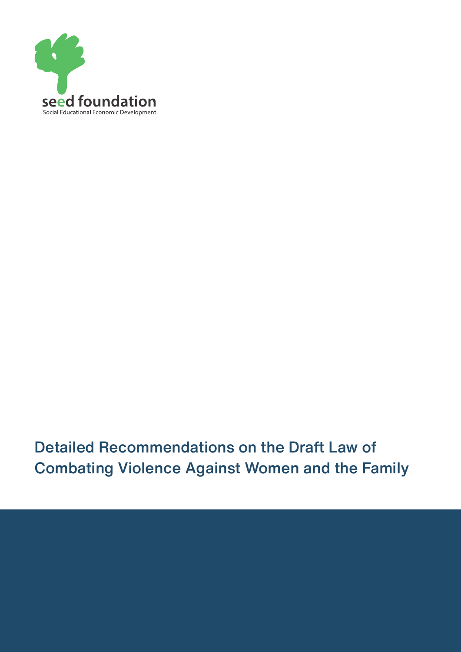

Detailed Recommendations on the Draft Law of Combating Violence Against Women and the Family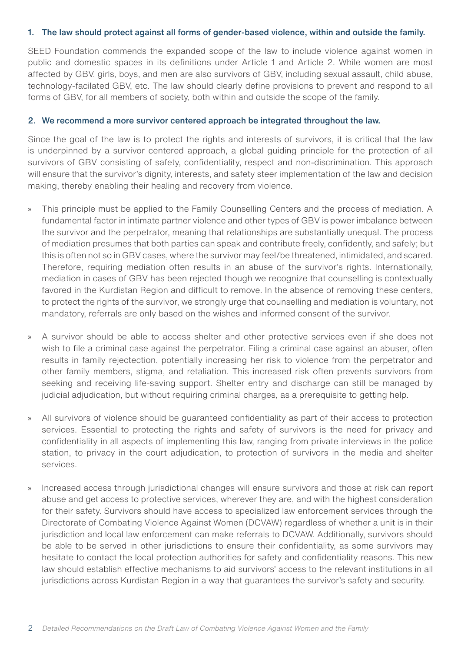## 1. The law should protect against all forms of gender-based violence, within and outside the family.

SEED Foundation commends the expanded scope of the law to include violence against women in public and domestic spaces in its definitions under Article 1 and Article 2. While women are most affected by GBV, girls, boys, and men are also survivors of GBV, including sexual assault, child abuse, technology-facilated GBV, etc. The law should clearly define provisions to prevent and respond to all forms of GBV, for all members of society, both within and outside the scope of the family.

## 2. We recommend a more survivor centered approach be integrated throughout the law.

Since the goal of the law is to protect the rights and interests of survivors, it is critical that the law is underpinned by a survivor centered approach, a global guiding principle for the protection of all survivors of GBV consisting of safety, confidentiality, respect and non-discrimination. This approach will ensure that the survivor's dignity, interests, and safety steer implementation of the law and decision making, thereby enabling their healing and recovery from violence.

- » This principle must be applied to the Family Counselling Centers and the process of mediation. A fundamental factor in intimate partner violence and other types of GBV is power imbalance between the survivor and the perpetrator, meaning that relationships are substantially unequal. The process of mediation presumes that both parties can speak and contribute freely, confidently, and safely; but this is often not so in GBV cases, where the survivor may feel/be threatened, intimidated, and scared. Therefore, requiring mediation often results in an abuse of the survivor's rights. Internationally, mediation in cases of GBV has been rejected though we recognize that counselling is contextually favored in the Kurdistan Region and difficult to remove. In the absence of removing these centers, to protect the rights of the survivor, we strongly urge that counselling and mediation is voluntary, not mandatory, referrals are only based on the wishes and informed consent of the survivor.
- » A survivor should be able to access shelter and other protective services even if she does not wish to file a criminal case against the perpetrator. Filing a criminal case against an abuser, often results in family rejectection, potentially increasing her risk to violence from the perpetrator and other family members, stigma, and retaliation. This increased risk often prevents survivors from seeking and receiving life-saving support. Shelter entry and discharge can still be managed by judicial adjudication, but without requiring criminal charges, as a prerequisite to getting help.
- » All survivors of violence should be guaranteed confidentiality as part of their access to protection services. Essential to protecting the rights and safety of survivors is the need for privacy and confidentiality in all aspects of implementing this law, ranging from private interviews in the police station, to privacy in the court adjudication, to protection of survivors in the media and shelter services.
- » Increased access through jurisdictional changes will ensure survivors and those at risk can report abuse and get access to protective services, wherever they are, and with the highest consideration for their safety. Survivors should have access to specialized law enforcement services through the Directorate of Combating Violence Against Women (DCVAW) regardless of whether a unit is in their jurisdiction and local law enforcement can make referrals to DCVAW. Additionally, survivors should be able to be served in other jurisdictions to ensure their confidentiality, as some survivors may hesitate to contact the local protection authorities for safety and confidentiality reasons. This new law should establish effective mechanisms to aid survivors' access to the relevant institutions in all jurisdictions across Kurdistan Region in a way that guarantees the survivor's safety and security.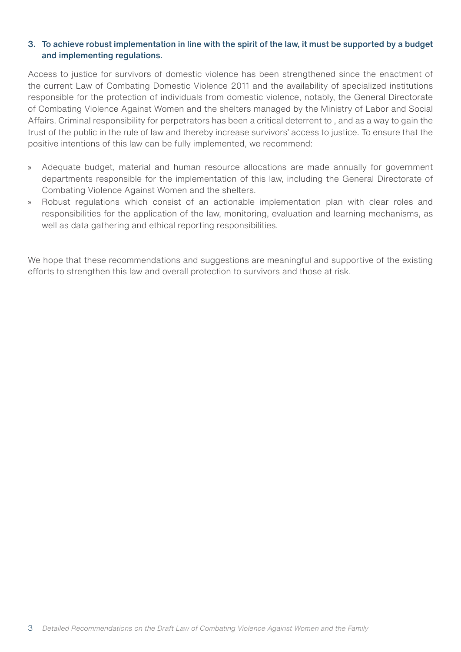## 3. To achieve robust implementation in line with the spirit of the law, it must be supported by a budget and implementing regulations.

Access to justice for survivors of domestic violence has been strengthened since the enactment of the current Law of Combating Domestic Violence 2011 and the availability of specialized institutions responsible for the protection of individuals from domestic violence, notably, the General Directorate of Combating Violence Against Women and the shelters managed by the Ministry of Labor and Social Affairs. Criminal responsibility for perpetrators has been a critical deterrent to , and as a way to gain the trust of the public in the rule of law and thereby increase survivors' access to justice. To ensure that the positive intentions of this law can be fully implemented, we recommend:

- » Adequate budget, material and human resource allocations are made annually for government departments responsible for the implementation of this law, including the General Directorate of Combating Violence Against Women and the shelters.
- » Robust regulations which consist of an actionable implementation plan with clear roles and responsibilities for the application of the law, monitoring, evaluation and learning mechanisms, as well as data gathering and ethical reporting responsibilities.

We hope that these recommendations and suggestions are meaningful and supportive of the existing efforts to strengthen this law and overall protection to survivors and those at risk.